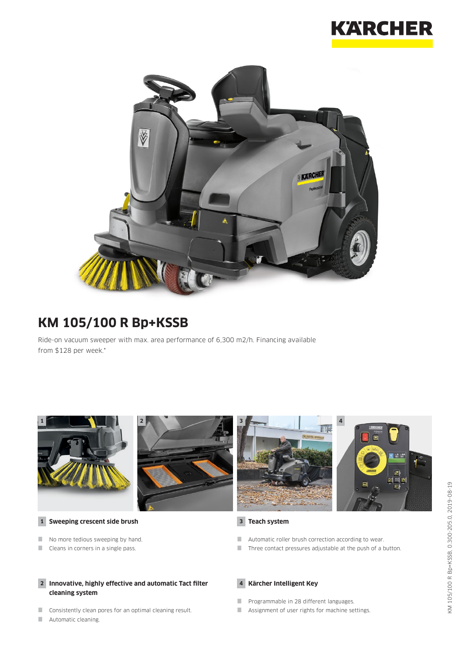



# **KM 105/100 R Bp+KSSB**

Ride-on vacuum sweeper with max. area performance of 6,300 m2/h. Financing available from \$128 per week.\*



Cleans in corners in a single pass.

#### **2 Innovative, highly effective and automatic Tact filter cleaning system**

- **Consistently clean pores for an optimal cleaning result.**
- **Automatic cleaning.**

#### **4 Kärcher Intelligent Key**

- **Programmable in 28 different languages.**
- **Assignment of user rights for machine settings.**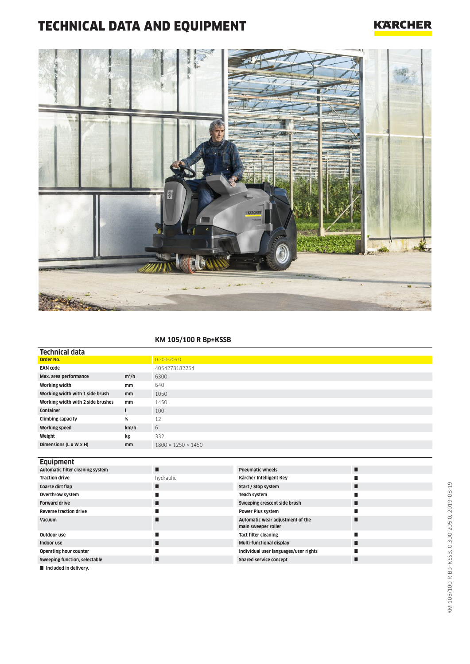## TECHNICAL DATA AND EQUIPMENT

### **KARCHER**



#### **KM 105/100 R Bp+KSSB**

| Technical data                    |               |                                |
|-----------------------------------|---------------|--------------------------------|
| <b>Order No.</b>                  |               | $0.300 - 205.0$                |
| <b>EAN code</b>                   |               | 4054278182254                  |
| Max. area performance             | $m^2/h$       | 6300                           |
| <b>Working width</b>              | mm            | 640                            |
| Working width with 1 side brush   | mm            | 1050                           |
| Working width with 2 side brushes | mm            | 1450                           |
| <b>Container</b>                  |               | 100                            |
| <b>Climbing capacity</b>          | %             | 12                             |
| <b>Working speed</b>              | km/h          | 6                              |
| Weight                            | kg            | 332                            |
| Dimensions (L x W x H)            | <sub>mm</sub> | $1800 \times 1250 \times 1450$ |
|                                   |               |                                |

| <b>Equipment</b>                 |           |                                                         |  |
|----------------------------------|-----------|---------------------------------------------------------|--|
| Automatic filter cleaning system | П         | <b>Pneumatic wheels</b>                                 |  |
| <b>Traction drive</b>            | hydraulic | Kärcher Intelligent Key                                 |  |
| Coarse dirt flap                 | ■         | Start / Stop system                                     |  |
| Overthrow system                 |           | Teach system                                            |  |
| <b>Forward drive</b>             | ■         | Sweeping crescent side brush                            |  |
| <b>Reverse traction drive</b>    |           | <b>Power Plus system</b>                                |  |
| <b>Vacuum</b>                    |           | Automatic wear adjustment of the<br>main sweeper roller |  |
| Outdoor use                      |           | <b>Tact filter cleaning</b>                             |  |
| Indoor use                       |           | Multi-functional display                                |  |
| Operating hour counter           |           | Individual user languages/user rights                   |  |
| Sweeping function, selectable    | г         | Shared service concept                                  |  |
| Included in delivery.            |           |                                                         |  |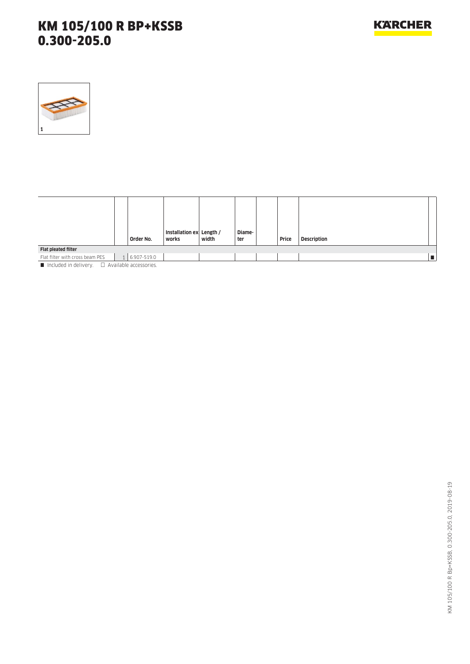

|                                 | Order No.     | Installation ex Length /<br>works | width | Diame-<br>ter | Price | <b>Description</b> |
|---------------------------------|---------------|-----------------------------------|-------|---------------|-------|--------------------|
| Flat pleated filter             |               |                                   |       |               |       |                    |
| Flat filter with cross beam PES | 1 6.907-519.0 |                                   |       |               |       |                    |

 $\blacksquare$  Included in delivery.  $\Box$  Available accessories.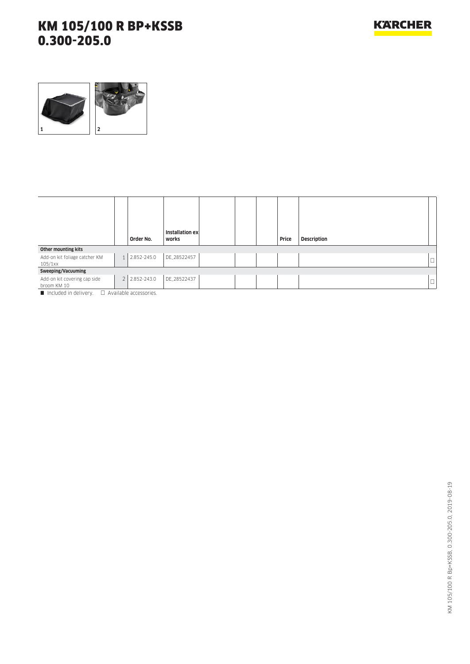

|                                             |                               | Installation ex |  |       |                    |        |
|---------------------------------------------|-------------------------------|-----------------|--|-------|--------------------|--------|
|                                             | Order No.                     | works           |  | Price | <b>Description</b> |        |
| Other mounting kits                         |                               |                 |  |       |                    |        |
| Add-on kit foliage catcher KM<br>105/1xx    | 1 2.852-245.0                 | DE_28522457     |  |       |                    | ⊔      |
| Sweeping/Vacuuming                          |                               |                 |  |       |                    |        |
| Add-on kit covering cap side<br>broom KM 10 | 2 2.852-243.0                 | DE_28522437     |  |       |                    | $\Box$ |
| $\blacksquare$ included in delivery         | $\Box$ Augustable accessories |                 |  |       |                    |        |

Included in delivery.  $\Box$  Available accessories.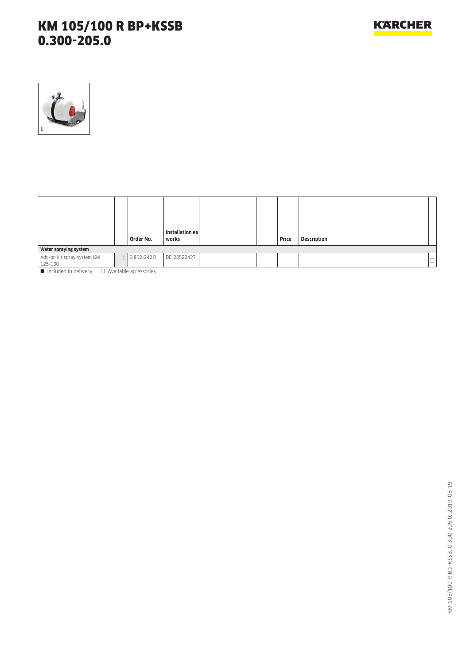

|                                                                          | Order No.     | Installation ex<br>works |  | Price | <b>Description</b> |                               |
|--------------------------------------------------------------------------|---------------|--------------------------|--|-------|--------------------|-------------------------------|
| Water spraying system                                                    |               |                          |  |       |                    |                               |
| Add-on kit spray system KM<br>125/130                                    | 1 2.852-242.0 | DE_28522427              |  |       |                    | $\overline{\phantom{0}}$<br>ш |
| $\blacksquare$ Included in delivery $\blacksquare$ Available accessories |               |                          |  |       |                    |                               |

Included in delivery.  $\Box$  Available accessories.